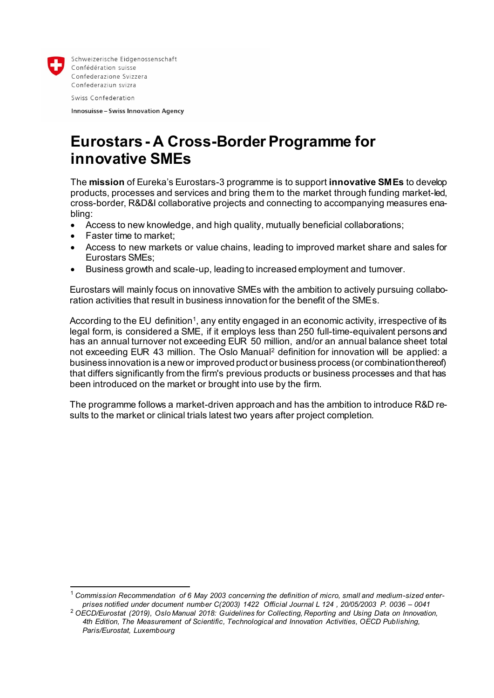

l

Schweizerische Eidgenossenschaft Confédération suisse Confederazione Svizzera Confederaziun svizra

Swiss Confederation

**Innosuisse - Swiss Innovation Agency** 

# **Eurostars - A Cross-Border Programme for innovative SMEs**

The **mission** of Eureka's Eurostars-3 programme is to support **innovative SMEs** to develop products, processes and services and bring them to the market through funding market-led, cross-border, R&D&I collaborative projects and connecting to accompanying measures enabling:

- Access to new knowledge, and high quality, mutually beneficial collaborations;
- Faster time to market;
- Access to new markets or value chains, leading to improved market share and sales for Eurostars SMEs;
- Business growth and scale-up, leading to increased employment and turnover.

Eurostars will mainly focus on innovative SMEs with the ambition to actively pursuing collaboration activities that result in business innovation for the benefit of the SMEs.

According to the EU definition1, any entity engaged in an economic activity, irrespective of its legal form, is considered a SME, if it employs less than 250 full-time-equivalent persons and has an annual turnover not exceeding EUR 50 million, and/or an annual balance sheet total not exceeding EUR 43 million. The Oslo Manual<sup>2</sup> definition for innovation will be applied: a business innovation is a new or improved product or business process (or combination thereof) that differs significantly from the firm's previous products or business processes and that has been introduced on the market or brought into use by the firm.

The programme follows a market-driven approach and has the ambition to introduce R&D results to the market or clinical trials latest two years after project completion.

<sup>1</sup> *Commission Recommendation of 6 May 2003 concerning the definition of micro, small and medium-sized enterprises notified under document number C(2003) 1422 Official Journal L 124 , 20/05/2003 P. 0036 – 0041*

<sup>2</sup> *OECD/Eurostat (2019), Oslo Manual 2018: Guidelines for Collecting, Reporting and Using Data on Innovation, 4th Edition, The Measurement of Scientific, Technological and Innovation Activities, OECD Publishing, Paris/Eurostat, Luxembourg*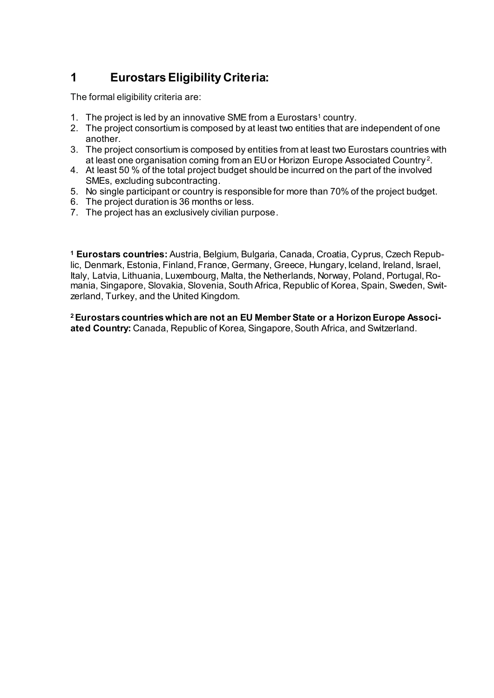# **1 Eurostars Eligibility Criteria:**

The formal eligibility criteria are:

- 1. The project is led by an innovative SME from a Eurostars<sup>1</sup> country.
- 2. The project consortium is composed by at least two entities that are independent of one another.
- 3. The project consortium is composed by entities from at least two Eurostars countries with at least one organisation coming from an EU or Horizon Europe Associated Country <sup>2</sup> .
- 4. At least 50 % of the total project budget should be incurred on the part of the involved SMEs, excluding subcontracting.
- 5. No single participant or country is responsible for more than 70% of the project budget.
- 6. The project duration is 36 months or less.
- 7. The project has an exclusively civilian purpose.

**<sup>1</sup> Eurostars countries:** Austria, Belgium, Bulgaria, Canada, Croatia, Cyprus, Czech Republic, Denmark, Estonia, Finland, France, Germany, Greece, Hungary, Iceland, Ireland, Israel, Italy, Latvia, Lithuania, Luxembourg, Malta, the Netherlands, Norway, Poland, Portugal, Romania, Singapore, Slovakia, Slovenia, South Africa, Republic of Korea, Spain, Sweden, Switzerland, Turkey, and the United Kingdom.

**2Eurostars countries which are not an EU Member State or a Horizon Europe Associated Country:** Canada, Republic of Korea, Singapore, South Africa, and Switzerland.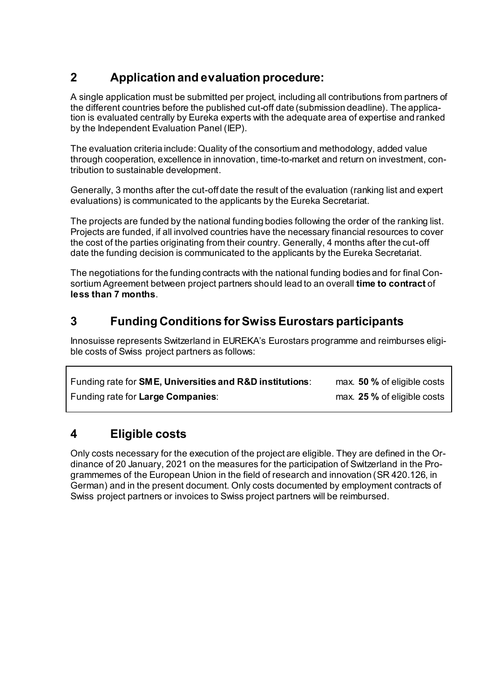# **2 Application and evaluation procedure:**

A single application must be submitted per project, including all contributions from partners of the different countries before the published cut-off date (submission deadline). The application is evaluated centrally by Eureka experts with the adequate area of expertise and ranked by the Independent Evaluation Panel (IEP).

The evaluation criteria include: Quality of the consortium and methodology, added value through cooperation, excellence in innovation, time-to-market and return on investment, contribution to sustainable development.

Generally, 3 months after the cut-off date the result of the evaluation (ranking list and expert evaluations) is communicated to the applicants by the Eureka Secretariat.

The projects are funded by the national funding bodies following the order of the ranking list. Projects are funded, if all involved countries have the necessary financial resources to cover the cost of the parties originating from their country. Generally, 4 months after the cut-off date the funding decision is communicated to the applicants by the Eureka Secretariat.

The negotiations for the funding contracts with the national funding bodies and for final Consortium Agreement between project partners should lead to an overall **time to contract** of **less than 7 months**.

## **3 Funding Conditions for Swiss Eurostars participants**

Innosuisse represents Switzerland in EUREKA's Eurostars programme and reimburses eligible costs of Swiss project partners as follows:

| Funding rate for <b>SME, Universities and R&amp;D institutions</b> : | max. 50 % of eligible costs |
|----------------------------------------------------------------------|-----------------------------|
| Funding rate for Large Companies:                                    | max. 25 % of eligible costs |

## **4 Eligible costs**

Only costs necessary for the execution of the project are eligible. They are defined in the Ordinance of 20 January, 2021 on the measures for the participation of Switzerland in the Programmemes of the European Union in the field of research and innovation (SR 420.126, in German) and in the present document. Only costs documented by employment contracts of Swiss project partners or invoices to Swiss project partners will be reimbursed.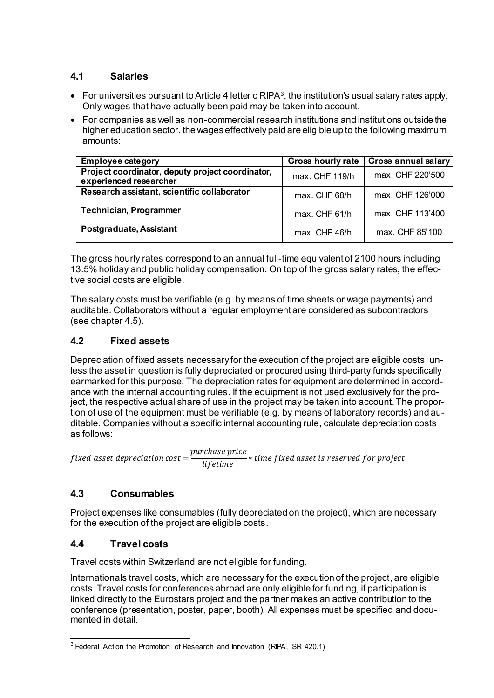#### **4.1 Salaries**

- $\bullet$  For universities pursuant to Article 4 letter c RIPA<sup>3</sup>, the institution's usual salary rates apply. Only wages that have actually been paid may be taken into account.
- For companies as well as non-commercial research institutions and institutions outside the higher education sector, the wages effectively paid are eligible up to the following maximum amounts:

| <b>Employee category</b>                                                   | <b>Gross hourly rate</b> | <b>Gross annual salary</b> |
|----------------------------------------------------------------------------|--------------------------|----------------------------|
| Project coordinator, deputy project coordinator,<br>experienced researcher | max. CHF 119/h           | max. CHF 220'500           |
| Research assistant, scientific collaborator                                | max. CHF 68/h            | max. CHF 126'000           |
| <b>Technician, Programmer</b>                                              | $max$ . CHF 61/h         | max. CHF 113'400           |
| Postgraduate, Assistant                                                    | $max$ . CHF 46/h         | max. CHF 85'100            |

The gross hourly rates correspond to an annual full-time equivalent of 2100 hours including 13.5% holiday and public holiday compensation. On top of the gross salary rates, the effective social costs are eligible.

The salary costs must be verifiable (e.g. by means of time sheets or wage payments) and auditable. Collaborators without a regular employment are considered as subcontractors (see chapter 4.5).

#### **4.2 Fixed assets**

Depreciation of fixed assets necessary for the execution of the project are eligible costs, unless the asset in question is fully depreciated or procured using third-party funds specifically earmarked for this purpose. The depreciation rates for equipment are determined in accordance with the internal accounting rules. If the equipment is not used exclusively for the project, the respective actual share of use in the project may be taken into account. The proportion of use of the equipment must be verifiable (e.g. by means of laboratory records) and auditable. Companies without a specific internal accounting rule, calculate depreciation costs as follows:

f ixed asset depreciation cost  $\, =$ purchase price  $\frac{1}{1}$  \* time fixed asset is reserved for project<br>lifetime

#### **4.3 Consumables**

Project expenses like consumables (fully depreciated on the project), which are necessary for the execution of the project are eligible costs.

### **4.4 Travel costs**

Travel costs within Switzerland are not eligible for funding.

Internationals travel costs, which are necessary for the execution of the project, are eligible costs. Travel costs for conferences abroad are only eligible for funding, if participation is linked directly to the Eurostars project and the partner makes an active contribution to the conference (presentation, poster, paper, booth). All expenses must be specified and documented in detail.

l  $3$  Federal Act on the Promotion of Research and Innovation (RIPA, SR 420.1)